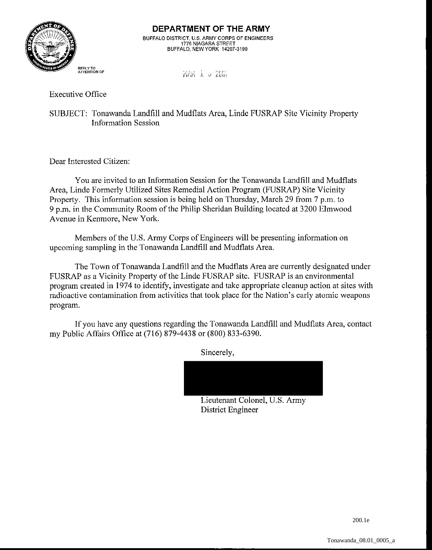

**ATrENTION OF** ... , . ?,.,,. i **i. d** ~di!~

Executive Office

SUBJECT: Tonawanda Landfill and Mudflats Area, Linde FUSRAP Site Vicinity Property Information Session

Dear Interested Citizen:

You are invited to an Information Session for the Tonawanda Landfill and Mudflats Area, Linde Formerly Utilized Sites Remedial Action Program (FUSRAP) Site Vicinity Property. This information session is being held on Thursday, March 29 from 7 p.m. to 9 p.m. in the Community Room of the Philip Sheridan Building located at 3200 Elmwood Avenue in Kenmore, New York.

Members of the U.S. Army Corps of Engineers will be presenting information on upcoming sampling in the Tonawanda Landfill and Mudflats Area.

The Town of Tonawanda Landfill and the Mudflats Area are currently designated under FUSRAP as a Vicinity Property of the Linde FUSRAP site. FUSRAP is an environmental program created in 1974 to identify, investigate and take appropriate cleanup action at sites with radioactive contamination from activities that took place for the Nation's early atomic weapons program.

If you have any questions regarding the Tonawanda Landfill and Mudflats Area, contact my Public Affairs Office at (716) 879-4438 or (800) 833-6390.

Sincerely,



Lieutenant Colonel, U.S. Army District Engineer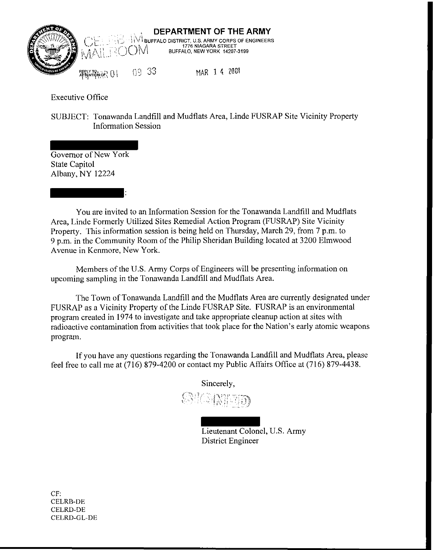

Executive Office

SUBJECT: Tonawanda Landfill and Mudflats Area, Linde FUSRAP Site Vicinity Property Information Session

Governor of New York State Capitol Albany, NY 12224

:

You are invited to an Information Session for the Tonawanda Landfill and Mudflats Area, Linde Formerly Utilized Sites Remedial Action Program (FUSRAP) Site Vicinity Property. This information session is being held on Thursday, March 29, from 7 p.m. to 9 p.m. in the Community Room of the Philip Sheridan Building located at 3200 Elmwood Avenue in Kenmore, New York.

Members of the U.S. Army Corps of Engineers will be presenting information on upcoming sampling in the Tonawanda Landfill and Mudflats Area.

The Town of Tonawanda Landfill and the Mudflats Area are currently designated under FUSRAP as a Vicinity Property of the Linde FUSRAP Site. FUSRAP is an environmental program created in 1974 to investigate and take appropriate cleanup action at sites with radioactive contamination from activities that took place for the Nation's early atomic weapons program.

If you have any questions regarding the Tonawanda Landfill and Mudflats Area, please feel free to call me at (716) 879-4200 or contact my Public Affairs Office at (716) 879-4438.

Sincerely,

OKMED

Lieutenant Colonel, U.S. Army District Engineer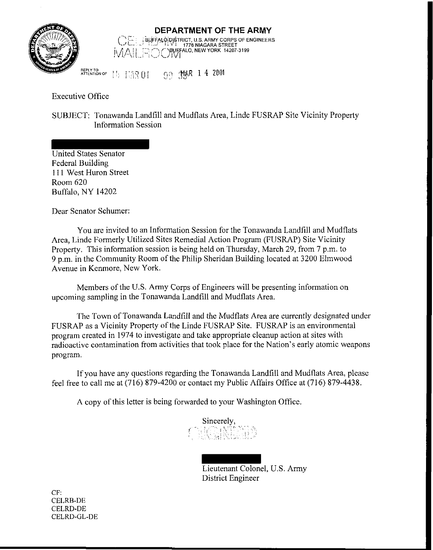

## **DEPARTMENT OF THE ARMY**<br> **CELL BUEFALODISTRICT, U.S. ARMY CORPS OF ENGINEERS**  $i$ .<br>  $i$   $\mathcal{A}$   $\mathcal{A}$   $\mathcal{L}$   $\mathcal{A}$   $\mathcal{L}$   $\mathcal{A}$   $\mathcal{L}$   $\mathcal{A}$   $\mathcal{L}$   $\mathcal{A}$   $\mathcal{L}$   $\mathcal{A}$   $\mathcal{L}$   $\mathcal{A}$   $\mathcal{L}$

**REPLYTO**   $11:$   $11.801$  **00 314R 14 2001** 

Executive Office

SUBJECT: Tonawanda Landfill and Mudflats Area, Linde FUSRAP Site Vicinity Property Information Session

United States Senator Federal Building 11 1 West Huron Street Room 620 Buffalo, NY 14202

Dear Senator Schumer:

You are invited to an Information Session for the Tonawanda Landfill and Mudflats Area, Linde Formerly Utilized Sites Remedial Action Program (FUSRAP) Site Vicinity Property. This information session is being held on Thursday, March 29, from 7 p.m. to 9 p.m. in the Community Room of the Philip Sheridan Building located at 3200 Elmwood Avenue in Kenmore, New York.

Members of the U.S. Army Corps of Engineers will be presenting information on upcoming sampling in the Tonawanda Landfill and Mudflats Area.

The Town of Tonawanda Landfill and the Mudflats Area are currently designated under FUSRAP as a Vicinity Property of the Linde FUSRAP Site. FUSRAP is an environmental program created in 1974 to investigate and take appropriate cleanup action at sites with radioactive contamination from activities that took place for the Nation's early atomic weapons program

If you have any questions regarding the Tonawanda Landfill and Mudflats Area, please feel free to call me at (716) 879-4200 or contact my Public Affairs Office at (716) 879-4438.

A copy of this letter is being forwarded to your Washington Office.

Sincerely,  $\mathbb{Q}_2^* \mathbb{N}$  ,  $\mathbb{Q}_2^* \mathbb{N}$  :

Lieutenant Colonel, U.S. Army District Engineer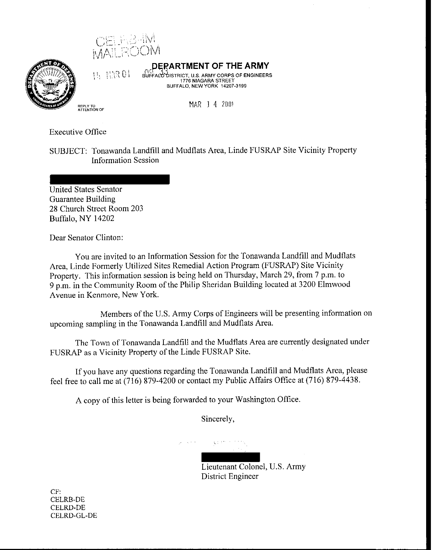

 $11.113801$ 



**DFFARTMENT OF THE ARMY** 

BUFFALO DISTRICT, U.S. ARMY CORPS OF ENGINEERS 1776 NIAGARA STREET BUFFALO, NEWYORK 14207.3199

**MAR 1 4 2001** 

Executive Office

SUBJECT: Tonawanda Landfill and Mudflats Area, Linde FUSRAP Site Vicinity Property Information Session

United States Senator Guarantee Building 28 Church Street Room 203 Buffalo, NY 14202

Dear Senator Clinton:

You are invited to an Information Session for the Tonawanda Landfill and Mudflats Area, Linde Formerly Utilized Sites Remedial Action Program (FUSRAP) Site Vicinity Property. This information session is being held on Thursday, March 29, from 7 p.m. to 9 p.m. in the Community Room of the Philip Sheridan Building located at 3200 Elmwood Avenue in Kenmore, New York.

Members of the U.S. Army Corps of Engineers will be presenting information on upcoming sampling in the Tonawanda Landfill and Mudflats Area.

The Town of Tonawanda Landfill and the Mudflats Area are currently designated under FUSRAP as a Vicinity Property of the Linde FUSRAP Site.

If you have any questions regarding the Tonawanda Landfill and Mudflats Area, please feel free to call me at (716) 879-4200 or contact my Public Affairs Office at (716) 879-4438.

A copy of this letter is being forwarded to your Washington Office.

Sincerely,

数据标准 化乙烷

Lieutenant Colonel, U.S. Army District Engineer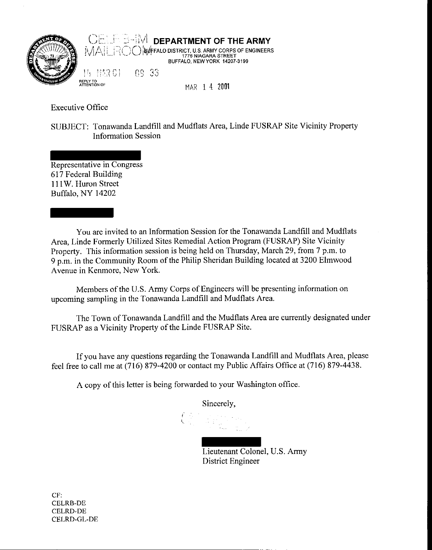

Executive Office

SUBJECT: Tonawanda Landfill and Mudflats Area, Linde FUSRAP Site Vicinity Property Information Session

Representative in Congress 617 Federal Building 111W. Huron Street Buffalo. NY 14202

You are invited to an Information Session for the Tonawanda Landfill and Mudflats Area, Linde Formerly Utilized Sites Remedial Action Program (FUSRAP) Site Vicinity Property. This information session is being held on Thursday, March 29, from 7 p.m. to 9 p.m. in the Community Room of the Philip Sheridan Building located at 3200 Elmwood Avenue in Kenmore, New York.

Members of the U.S. Army Corps of Engineers will be presenting information on upcoming sampling in the Tonawanda Landfill and Mudflats Area.

The Town of Tonawanda Landfill and the Mudflats Area are currently designated under FUSRAP as a Vicinity Property of the Linde FUSRAP Site.

If you have any questions regarding the Tonawanda Landfill and Mudflats Area, please feel free to call me at (716) 879-4200 or contact my Public Affairs Office at (716) 879-4438.

A copy of this letter is being forwarded to your Washington office.

Sincerely,

Lieutenant Colonel, U.S. Army District Engineer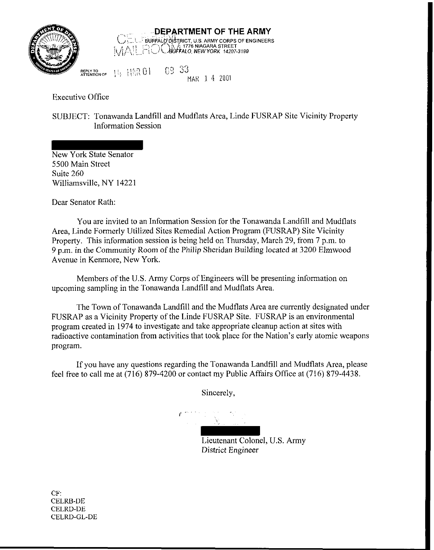

**DEPARTMENT OF THE ARMY**  CEL BUFFALO DISTRICT, U.S. ARMY CORPS OF EI **BUFPALO DISTRICT, U.S. ARMY CORPS OF ENGINEERS** 

**;?E;;,,oF** \ !> i;::,: *<sup>Q</sup>*1 c2 22 MAK 1 **'1** <sup>2001</sup>

Executive Office

SUBJECT: Tonawanda Landfill and Mudflats Area, Linde FUSRAP Site Vicinity Property Information Session

New York State Senator 5500 Main Street Suite 260 Williamsville, NY 14221

Dear Senator Rath:

You are invited to an Information Session for the Tonawanda Landfill and Mudflats Area, Linde Formerly Utilized Sites Remedial Action Program (FUSRAP) Site Vicinity Property. This information session is being held on Thursday, March 29, from 7 p.m. to 9 p.m. in the Community Room of the Philip Sheridan Building located at 3200 Elmwood Avenue in Kenmore, New York.

Members of the U.S. Amy Corps of Engineers will be presenting information on upcoming sampling in the Tonawanda Landfill and Mudflats Area.

The Town of Tonawanda Landfill and the Mudflats Area are currently designated under FUSRAP as a Vicinity Property of the Linde FUSRAP Site. FUSRAP is an environmental program created in 1974 to investigate and take appropriate cleanup action at sites with radioactive contamination from activities that took place for the Nation's early atomic weapons program.

If you have any questions regarding the Tonawanda Landfill and Mudflats Area, please feel free to call me at (716) 879-4200 or contact my Public Affairs Office at (716) 879-4438.

Sincerely,

*t* 

Lieutenant Colonel, U.S. Army District Engineer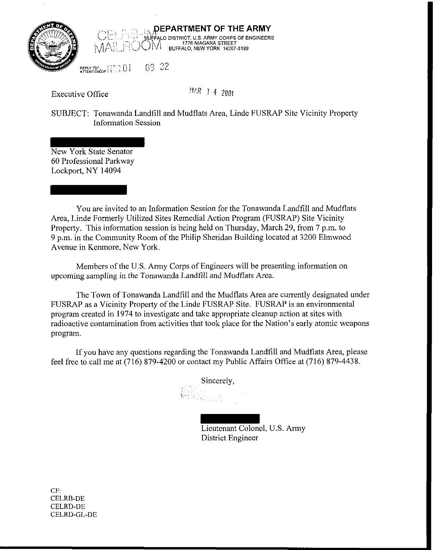



**REPLY TO!**  $\left\{\begin{matrix} 1 & 0 \\ 1 & 1 \end{matrix}, 0\right\} = 0532$ 

Executive Office

MAR 1 4 2001

SUBJECT: Tonawanda Landfill and Mudflats Area, Linde FUSRAP Site Vicinity Property Information Session

New York State Senator 60 Professional Parkway Lockport, NY 14094

You are invited to an Information Session for the Tonawanda Landfill and Mudflats Area, Linde Formerly Utilized Sites Remedial Action Program (FUSRAP) Site Vicinity Property. This information session is being held on Thursday, March 29, from 7 p.m. to 9 p.m. in the Community Room of the Philip Sheridan Building located at 3200 Elmwood Avenue in Kenmore, New York.

Members of the U.S. Army Corps of Engineers will be presenting information on upcoming sampling in the Tonawanda Landfill and Mudflats Area.

The Town of Tonawanda Landfill and the Mudflats Area are currently designated under FUSRAP as a Vicinity Property of the Linde FUSRAP Site. FUSRAP is an environmental program created in 1974 to investigate and take appropriate cleanup action at sites with radioactive contamination from activities that took place for the Nation's early atomic weapons program.

If you have any questions regarding the Tonawanda Landfill and Mudflats Area, please feel free to call me at (716) 879-4200 or contact my Public Affairs Office at (716) 879-4438.

Sincerely,

Lieutenant Colonel, U.S. Army District Engineer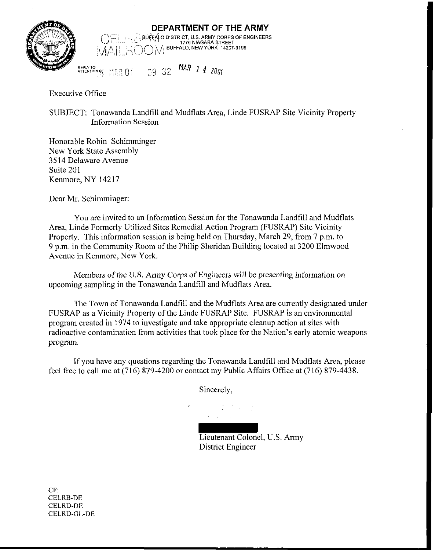

 $\cdots$ ; $\pm$ **DEPARTMENT OF THE ARMY**  +. , . :: BU<&O DISTRICT. US. ARMY CORPS OF ENGINEERS l..,i.~.,...! . .- . . - 1776 NIAGARA STREET , ' "BUFFALO. NEWYORK **14207-3199**  ~~~~/~,i\,~,~:i!,~-,tLj~\!/

**REPLY TO**<br>ATTENTION OF **ALL arrENTloR** : **OF** .: . , **1** ,.: **7** , 0 1 ?'I 2% MAR *1* 4 <sup>2001</sup>

Executive Office

SUBJECT: Tonawanda Landfill and Mudflats Area, Linde FUSRAP Site Vicinity Property Information Session

Honorable Robin Schimminger New York State Assembly 35 14 Delaware Avenue Suite 201 Kenmore, NY 14217

Dear Mr. Schimminger:

You are invited to an Information Session for the Tonawanda Landfill and Mudflats Area, Linde Formerly Utilized Sites Remedial Action Program (FUSRAP) Site Vicinity Property. This information session is being held on Thursday, March 29, from 7 p.m. to 9 p.m. in the Community Room of the Philip Sheridan Building located at 3200 Elmwood Avenue in Kenmore, New York.

Members of the U.S. Army Corps of Engineers will be presenting information on upcoming sampling in the Tonawanda Landfill and Mudflats Area.

The Town of Tonawanda Landfill and the Mudflats Area are currently designated under FUSRAP as a Vicinity Property of the Linde FUSRAP Site. FUSRAP is an environmental program created in 1974 to investigate and take appropriate cleanup action at sites with radioactive contamination from activities that took place for the Nation's early atomic weapons program.

If you have any questions regarding the Tonawanda Landfill and Mudflats Area, please feel free to call me at (716) 879-4200 or contact my Public Affairs Office at (716) 879-4438.

Sincerely,

Lieutenant Colonel, U.S. Army District Engineer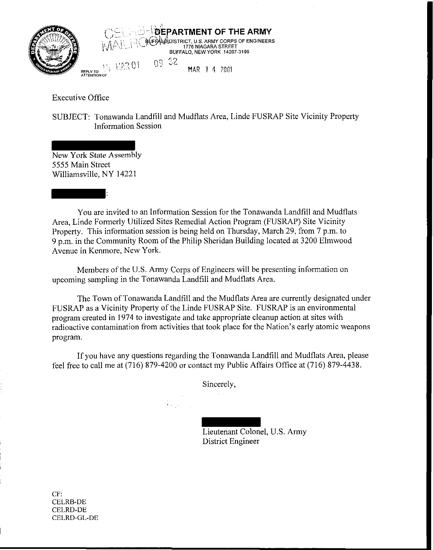

Executive Office

SUBJECT: Tonawanda Landfill and Mudflats Area, Linde FUSRAP Site Vicinity Property Information Session

New York State Assembly 5555 Main Street Williamsville, NY 14221

:

You are invited to an Information Session for the Tonawanda Landfill and Mudflats Area, Linde Formerly Utilized Sites Remedial Action Program (FUSRAP) Site Vicinity Property. This information session is being held on Thursday, March 29, from 7 p.m. to 9 p.m. in the Community Room of the Philip Sheridan Building located at 3200 Elmwood Avenue in Kenmore, New York.

Members of the U.S. Army Corps of Engineers will be presenting information on upcoming sampling in the Tonawanda Landfill and Mudflats Area.

The Town of Tonawanda Landfill and the Mudflats Area are currently designated under FUSRAP as a Vicinity Property of the Linde FUSRAP Site. FUSRAP is an environmental program created in 1974 to investigate and take appropriate cleanup action at sites with radioactive contamination from activities that took place for the Nation's early atomic weapons program.

If you have any questions regarding the Tonawanda Landfill and Mudflats Area, please feel free to call me at (716) 879-4200 or contact my Public Affairs Office at (716) 879-4438.

Sincerely,

Lieutenant Colonel, U.S. Army

District Engineer

CF: CELRB-DE CELRD-DE CELRD-GL-DE

I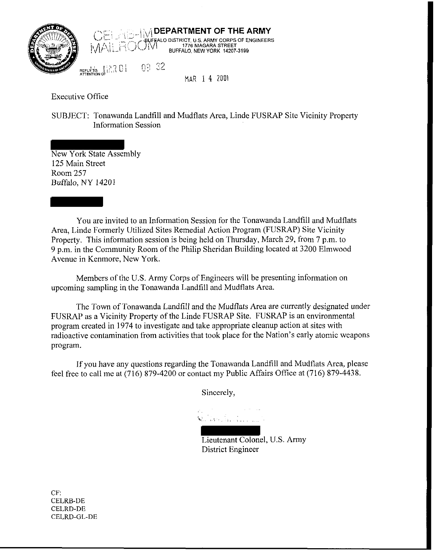

 $\frac{1}{2}$  **DEPARTMENT OF THE ARMY**<br>He up that in the strict, u.s. army corps of engineers DISTRICT, 0.3. ANNIT CORPS OF ENTERT<br>1776 NIAGARA STREET<br>BUFFALO, NEW YORK 14207-3199

REPLY TO ATTENTION OF  $09.32$ 

MAR 1 4 2001

Executive Office

SUBJECT: Tonawanda Landfill and Mudflats Area, Linde FUSRAP Site Vicinity Property Information Session

New York State Assembly 125 Main Street Room 257 Buffalo, NY 14201

You are invited to an Information Session for the Tonawanda Landfill and Mudflats Area, Linde Formerly Utilized Sites Remedial Action Program (FUSRAP) Site Vicinity Property. This information session is being held on Thursday, March 29, from 7 p.m. to 9 p.m. in the Community Room of the Philip Sheridan Building located at 3200 Elmwood Avenue in Kenmore, New York.

Members of the U.S. Army Corps of Engineers will be presenting information on upcoming sampling in the Tonawanda Landfill and Mudflats Area.

The Town of Tonawanda Landfill and the Mudflats Area are currently designated under FUSRAP as a Vicinity Property of the Linde FUSRAP Site. FUSRAP is an environmental program created in 1974 to investigate and take appropriate cleanup action at sites with radioactive contamination from activities that took place for the Nation's early atomic weapons program.

If you have any questions regarding the Tonawanda Landfill and Mudflats Area, please feel free to call me at (716) 879-4200 or contact my Public Affairs Office at (716) 879-4438.

Sincerely,

-+: .', ., .. . ~ .

Lieutenant Colonel, U.S. Army District Engineer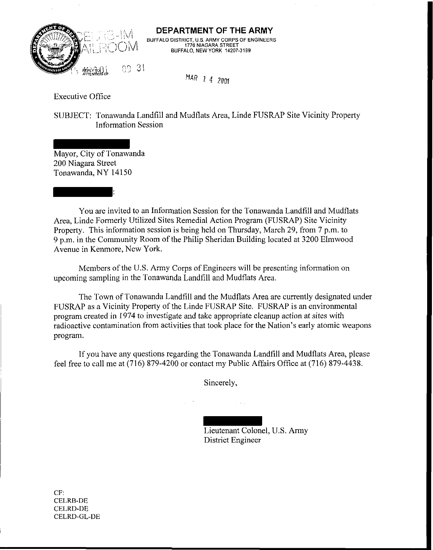

**DEPARTMENT OF THE ARMY**  BUFFALO DISTRICT, US. ARMY CORPS OF ENGINEERS 1776 NIAGARA STREET BUFFALO, **NEW** YORK 14207-3199

NAR *1* **4** 2OOf

Executive Office

SUBJECT: Tonawanda Landfill and Mudflats Area, Linde FUSRAP Site Vicinity Property Information Session

Mayor, City of Tonawanda 200 Niagara Street Tonawanda. NY 14150

:

You are invited to an Information Session for the Tonawanda Landfill and Mudflats Area, Linde Formerly Utilized Sites Remedial Action Program (FUSRAP) Site Vicinity Property. This information session is being held on Thursday, March 29, from 7 p.m. to 9 p.m. in the Community Room of the Philip Sheridan Building located at 3200 Elmwood Avenue in Kenmore, New York.

Members of the U.S. Army Corps of Engineers will be presenting information on upcoming sampling in the Tonawanda Landfill and Mudflats Area.

The Town of Tonawanda Landfill and the Mudflats Area are currently designated under FUSRAP as a Vicinity Property of the Linde FUSRAP Site. FUSRAP is an environmental program created in 1974 to investigate and take appropriate cleanup action at sites with radioactive contamination from activities that took place for the Nation's early atomic weapons program.

If you have any questions regarding the Tonawanda Landfill and Mudflats Area, please feel free to call me at (716) 879-4200 or contact my Public Affairs Office at (716) 879-4438.

Sincerely,

Lieutenant Colonel, U.S. Army District Engineer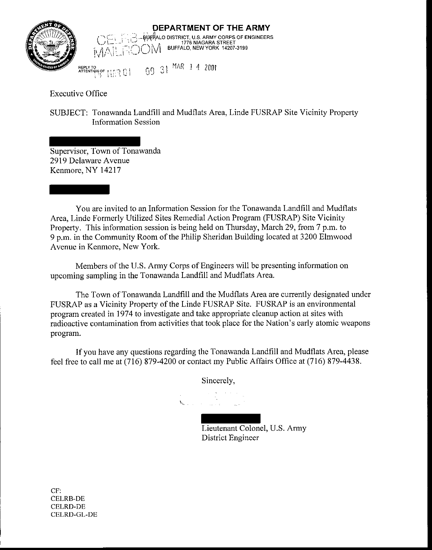

**REPLY TO** ,>! MAR 1 4 <sup>2001</sup>**ATTENTION OF \left| \bigcup\_{i=1}^{n} \bigcup\_{j=1}^{n} \bigcup\_{j=1}^{n} \bigcup\_{j=1}^{n} \bigcup\_{j=1}^{n} \bigcup\_{j=1}^{n} \bigcup\_{j=1}^{n} \bigcup\_{j=1}^{n} \bigcup\_{j=1}^{n} \bigcup\_{j=1}^{n} \bigcup\_{j=1}^{n} \bigcup\_{j=1}^{n} \bigcup\_{j=1}^{n} \bigcup\_{j=1}^{n} \bigcup\_{j=1}^{n} \bigcup\_{j=1}^{n} \bigcup\_{j=1}^{n} \bigcup\_{j=1}^{n} \bigcup\_{j=** 

Executive Office

SUBJECT: Tonawanda Landfill and Mudflats Area, Linde FUSRAP Site Vicinity Property Information Session

Supervisor, Town of Tonawanda 2919 Delaware Avenue Kenmore, NY 14217

You are invited to an Information Session for the Tonawanda Landfill and Mudflats Area, Linde Formerly Utilized Sites Remedial Action Program (FUSRAP) Site Vicinity Property. This information session is being held on Thursday, March 29, from 7 p.m. to 9 p.m. in the Community Room of the Philip Sheridan Building located at 3200 Elmwood Avenue in Kenmore, New York.

Members of the U.S. Army Corps of Engineers will be presenting information on upcoming sampling in the Tonawanda Landfill and Mudflats Area.

The Town of Tonawanda Landfill and the Mudflats Area are currently designated under FUSRAP as a Vicinity Property of the Linde FUSRAP Site. FUSRAP is an environmental program created in 1974 to investigate and take appropriate cleanup action at sites with radioactive contamination from activities that took place for the Nation's early atomic weapons program.

If you have any questions regarding the Tonawanda Landfill and Mudflats Area, please feel free to call me at (716) 879-4200 or contact my Public Affairs Office at (716) 879-4438.

Sincerely,

 $\mathbf{V}_{\mathbf{q},\mathbf{q},\mathbf{q},\mathbf{q}}$  , where  $\mathbf{V}_{\mathbf{q},\mathbf{q},\mathbf{q},\mathbf{q}}$ 

Lieutenant Colonel, U.S. Army District Engineer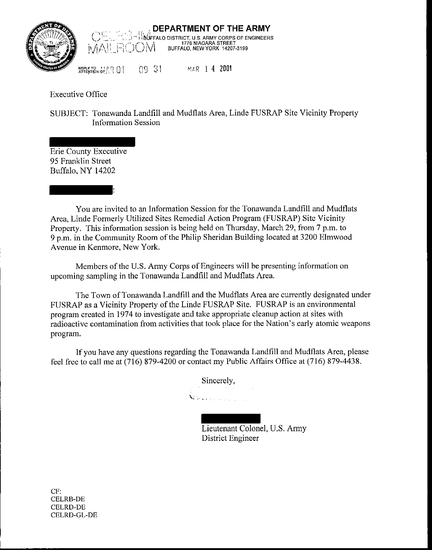



 $\begin{array}{ccc} \n 09 & 31 & \n 14 & 2001\n \end{array}$ 

Executive Office

SUBJECT: Tonawanda Landfill and Mudflats Area, Linde FUSRAP Site Vicinity Property Information Session

Erie County Executive 95 Franklin Street Buffalo, NY 14202

:

You are invited to an Information Session for the Tonawanda Landfill and Mudflats Area, Linde Formerly Utilized Sites Remedial Action Program (FUSRAP) Site Vicinity Property. This information session is being held on Thursday, March 29, from 7 p.m. to 9 p.m. in the Community Room of the Philip Sheridan Building located at 3200 Elmwood Avenue in Kenmore. New York.

Members of the U.S. Army Corps of Engineers will be presenting information on upcoming sampling in the Tonawanda Landfill and Mudflats Area.

The Town of Tonawanda Landfill and the Mudflats Area are currently designated under FUSRAP as a Vicinity Property of the Linde FUSRAP Site. FUSRAP is an environmental program created in 1974 to investigate and take appropriate cleanup action at sites with radioactive contamination from activities that took place for the Nation's early atomic weapons program.

If you have any questions regarding the Tonawanda Landfill and Mudflats Area, please feel free to call me at (716) 879-4200 or contact my Public Affairs Office at (716) 879-4438.

Sincerely,

Lieutenant Colonel, U.S. Army District Engineer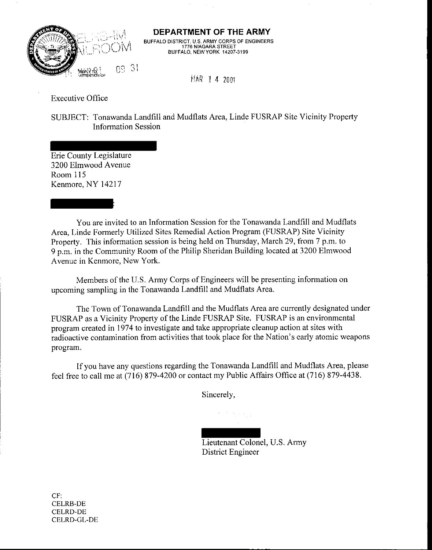

## **DEPARTMENT OF THE ARMY**

BUFFALO DISTRICT, U.S. ARMY CORPS OF ENGINEERS<br>1776 NIAGARA STREET BUFFALO, NEW YORK 14207-3199

**IlhR** 1 **4** 2001

Executive Office

SUBJECT: Tonawanda Landfill and Mudflats Area, Linde FUSRAP Site Vicinity Property Information Session

Erie County Legislature 3200 Elmwood Avenue Room 115 Kenmore, NY 14217

:

You are invited to an Information Session for the Tonawanda Landfill and Mudflats Area, Linde Formerly Utilized Sites Remedial Action Program (FUSRAP) Site Vicinity Property. This information session is being held on Thursday, March 29, from 7 p.m. to 9 p.m. in the Community Room of the Philip Sheridan Building located at 3200 Elmwood Avenue in Kenmore, New York.

Members of the U.S. Army Corps of Engineers will be presenting information on upcoming sampling in the Tonawanda Landfill and Mudflats Area.

The Town of Tonawanda Landfill and the Mudflats Area are currently designated under FUSRAP as a Vicinity Property of the Linde FUSRAP Site. FUSRAP is an environmental program created in 1974 to investigate and take appropriate cleanup action at sites with radioactive contamination from activities that took place for the Nation's early atomic weapons program.

If you have any questions regarding the Tonawanda Landfill and Mudflats Area, please feel free to call me at (716) 879-4200 or contact my Public Affairs Office at (716) 879-4438.

Sincerely,

Lieutenant Colonel, U.S. Army District Engineer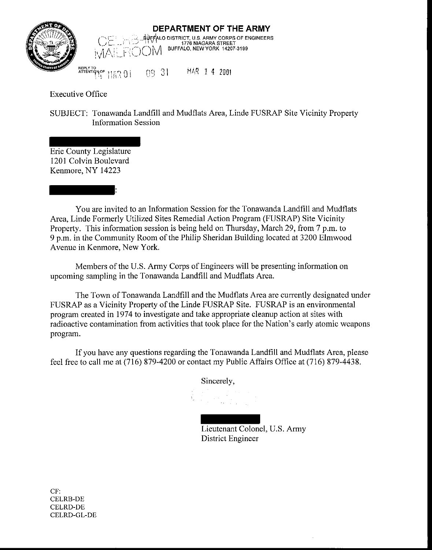

## **DEPARTMENT OF THE ARMY**  LO DISTRICT, **US.** ARMY CORPS OF ENGINEERS -""' . . 1776 NlAGARA STREET (')M BUFFALO, NEWYORK 14207-3199

**REPLY TO**<br>ATTENTIQN OF **AmENTlqYOF** !. I. **q** , i ,,: ,i!,.,, Ji 29 \$1 1% 1 **4** <sup>2001</sup>

Executive Office

SUBJECT: Tonawanda Landfill and Mudflats Area, Linde FUSRAP Site Vicinity Property Information Session

Erie County Legislature 1201 Calvin Boulevard Kenmore, NY 14223

:

You are invited to an Information Session for the Tonawanda Landfill and Mudflats Area, Linde Formerly Utilized Sites Remedial Action Program (FUSRAP) Site Vicinity Property. This information session is being held on Thursday, March 29, from 7 p.m. to 9 p.m. in the Community Room of the Philip Sheridan Building located at 3200 Elmwood Avenue in Kenmore. New York.

Members of the U.S. Army Corps of Engineers will be presenting information on upcoming sampling in the Tonawanda Landfill and Mudflats Area.

The Town of Tonawanda Landfill and the Mudflats Area are currently designated under FUSRAP as a Vicinity Property of the Linde FUSRAP Site. FUSRAP is an environmental program created in 1974 to investigate and take appropriate cleanup action at sites with radioactive contamination from activities that took place for the Nation's early atomic weapons program.

If you have any questions regarding the Tonawanda Landfill and Mudflats Area, please feel free to call me at (716) 879-4200 or contact my Public Affairs Office at (716) 879-4438.

Sincerely,

Lieutenant Colonel, U.S. Army District Engineer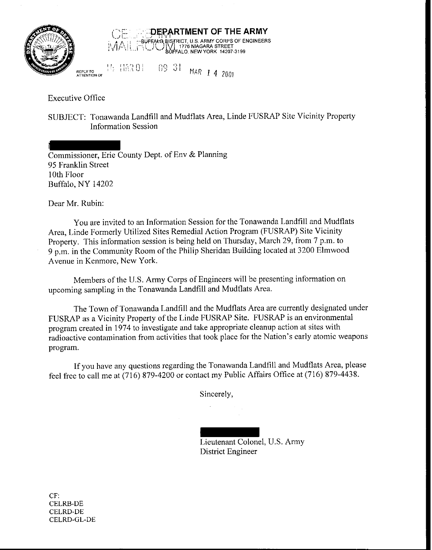

 $"$   $"$   $"$   $"$   $"$ **DERARTMENT OF THE ARMY**<br>HOUFFALO RISTANCE ARMY CORPS OF ENGINEERS<br>HOUFFALO RISTAL 1776 NIAGARA STREET BISHNOT, 0.3. ANIM CONTS OF E<br>NJ 1776 NIAGARA STREET<br>BUFFALO, NEW YORK 14207-3199 15 HAR 01 09 31 MAR 1 4 2001

Executive Office

SUBJECT: Tonawanda Landfill and Mudflats Area, Linde FUSRAP Site Vicinity Property Information Session

Commissioner, Erie County Dept. of Env & Planning 95 Franklin Street 10th Floor Buffalo, NY 14202

Dear Mr. Rubin:

You are invited to an Information Session for the Tonawanda Landfill and Mudflats Area, Linde Formerly Utilized Sites Remedial Action Program (FUSRAP) Site Vicinity Property. This information session is being held on Thursday, March 29, from 7 p.m. to 9 p.m. in the Community Room of the Philip Sheridan Building located at 3200 Elmwood Avenue in Kenmore, New York.

Members of the U.S. Army Corps of Engineers will be presenting information on upcoming sampling in the Tonawanda Landfill and Mudflats Area.

The Town of Tonawanda Landfill and the Mudflats Area are currently designated under FUSRAP as a Vicinity Property of the Linde FUSRAP Site. FUSRAP is an environmental program created in 1974 to investigate and take appropriate cleanup action at sites with radioactive contamination from activities that took place for the Nation's early atomic weapons program.

If you have any questions regarding the Tonawanda Landfill and Mudflats Area, please feel free to call me at (716) 879-4200 or contact my Public Affairs Office at (716) 879-4438.

Sincerely,

Lieutenant Colonel, U.S. Army District Engineer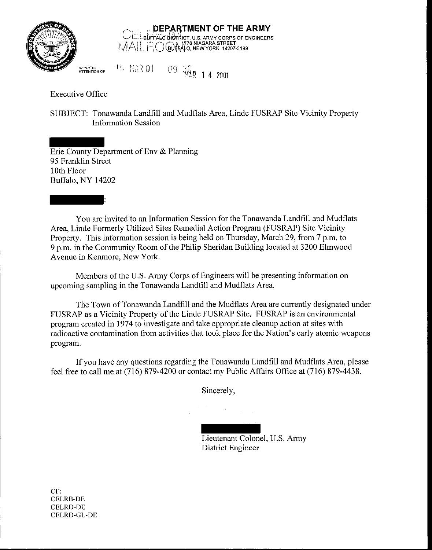



**REPLY TO TO BE PLY TO A IFLE TO BE PLY TO A 2001** 

Executive Office

SUBJECT: Tonawanda Landfill and Mudflats Area, Linde FUSRAP Site Vicinity Property Information Session

Erie County Department of Env & Planning 95 Franklin Street 10th Floor Buffalo, NY 14202

:

You are invited to an Information Session for the Tonawanda Landfill and Mudflats Area, Linde Formerly Utilized Sites Remedial Action Program (FUSRAP) Site Vicinity Property. This information session is being held on Thursday, March 29, from 7 p.m. to 9 p.m. in the Community Room of the Philip Sheridan Building located at 3200 Elmwood Avenue in Kenmore, New York.

Members of the U.S. Army Corps of Engineers will be presenting information on upcoming sampling in the Tonawanda Landfill and Mudflats Area.

The Town of Tonawanda Landfill and the Mudflats Area are currently designated under FUSRAP as a Vicinity Property of the Linde FUSRAP Site. FUSRAP is an environmental program created in 1974 to investigate and take appropriate cleanup action at sites with radioactive contamination from activities that took place for the Nation's early atomic weapons program.

If you have any questions regarding the Tonawanda Landfill and Mudflats Area, please feel free to call me at (716) 879-4200 or contact my Public Affairs Office at (716) 879-4438.

Sincerely,

Lieutenant Colonel, U.S. Army District Engineer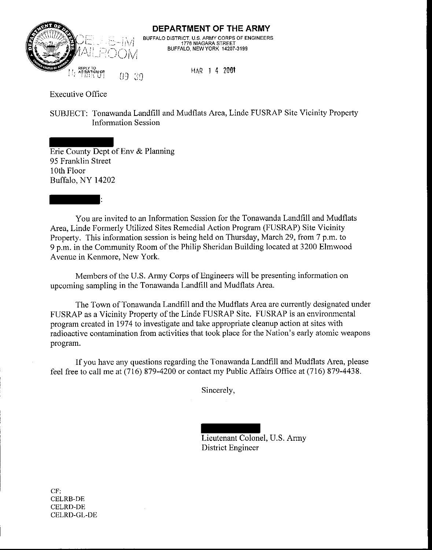

**DEPARTMENT OF THE ARMY**  BUFFALO DISTRICT, U.S. ARMY CORPS OF ENGINEERS 1776 NIAGARA STREET BUFFALO, NEWYORK 14207-3199

**MAR** 1 **4 2001** 

Executive Office

SUBJECT: Tonawanda Landfill and Mudflats Area, Linde FUSRAP Site Vicinity Property Information Session

Erie County Dept of Env & Planning 95 Franklin Street 10th Floor Buffalo, NY 14202

:

You are invited to an Information Session for the Tonawanda Landfill and Mudflats Area, Linde Formerly Utilized Sites Remedial Action Program (FUSRAP) Site Vicinity Property. This information session is being held on Thursday, March 29, from 7 p.m. to 9 p.m. in the Community Room of the Philip Sheridan Building located at 3200 Elmwood Avenue in Kenmore, New York.

Members of the U.S. Army Corps of Engineers will be presenting information on upcoming sampling in the Tonawanda Landfill and Mudflats Area.

The Town of Tonawanda Landfill and the Mudflats Area are currently designated under FUSRAP as a Vicinity Property of the Linde FUSRAP Site. FUSRAP is an environmental program created in 1974 to investigate and take appropriate cleanup action at sites with radioactive contamination from activities that took place for the Nation's early atomic weapons program.

If you have any questions regarding the Tonawanda Landfill and Mudflats Area, please feel free to call me at (716) 879-4200 or contact my Public Affairs Office at (716) 879-4438.

Sincerely,

Lieutenant Colonel, U.S. Army District Engineer